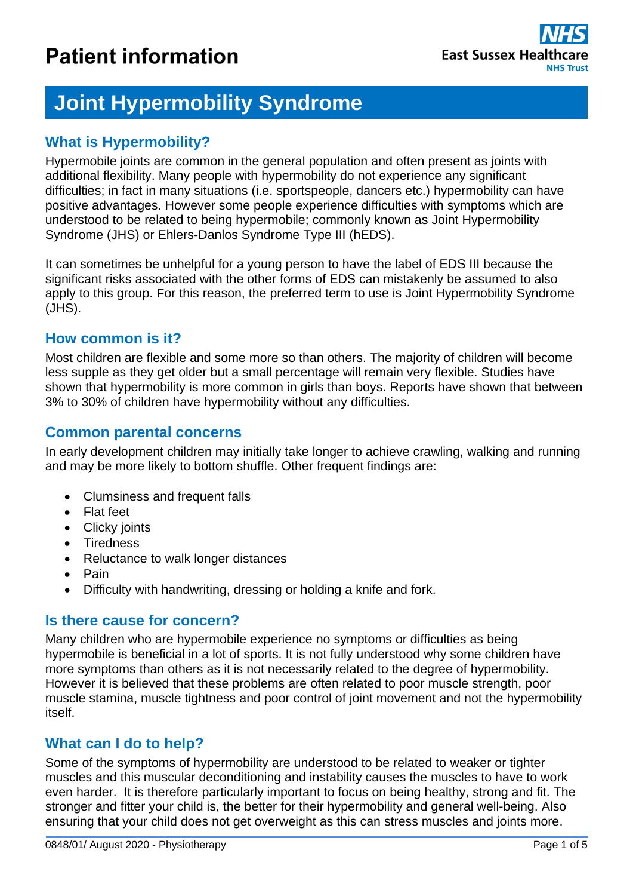# **Joint Hypermobility Syndrome**

## **What is Hypermobility?**

Hypermobile joints are common in the general population and often present as joints with additional flexibility. Many people with hypermobility do not experience any significant difficulties; in fact in many situations (i.e. sportspeople, dancers etc.) hypermobility can have positive advantages. However some people experience difficulties with symptoms which are understood to be related to being hypermobile; commonly known as Joint Hypermobility Syndrome (JHS) or Ehlers-Danlos Syndrome Type III (hEDS).

It can sometimes be unhelpful for a young person to have the label of EDS III because the significant risks associated with the other forms of EDS can mistakenly be assumed to also apply to this group. For this reason, the preferred term to use is Joint Hypermobility Syndrome (JHS).

## **How common is it?**

Most children are flexible and some more so than others. The majority of children will become less supple as they get older but a small percentage will remain very flexible. Studies have shown that hypermobility is more common in girls than boys. Reports have shown that between 3% to 30% of children have hypermobility without any difficulties.

## **Common parental concerns**

In early development children may initially take longer to achieve crawling, walking and running and may be more likely to bottom shuffle. Other frequent findings are:

- Clumsiness and frequent falls
- Flat feet
- Clicky joints
- Tiredness
- Reluctance to walk longer distances
- $\bullet$  Pain
- Difficulty with handwriting, dressing or holding a knife and fork.

## **Is there cause for concern?**

Many children who are hypermobile experience no symptoms or difficulties as being hypermobile is beneficial in a lot of sports. It is not fully understood why some children have more symptoms than others as it is not necessarily related to the degree of hypermobility. However it is believed that these problems are often related to poor muscle strength, poor muscle stamina, muscle tightness and poor control of joint movement and not the hypermobility itself.

## **What can I do to help?**

Some of the symptoms of hypermobility are understood to be related to weaker or tighter muscles and this muscular deconditioning and instability causes the muscles to have to work even harder. It is therefore particularly important to focus on being healthy, strong and fit. The stronger and fitter your child is, the better for their hypermobility and general well-being. Also ensuring that your child does not get overweight as this can stress muscles and joints more.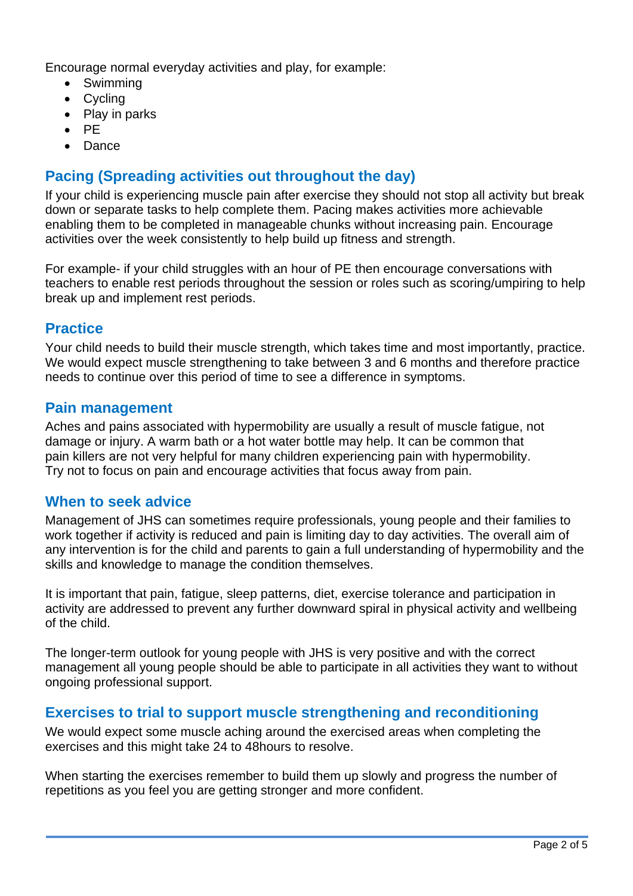Encourage normal everyday activities and play, for example:

- Swimming
- Cycling
- Play in parks
- $\bullet$  PF
- Dance

## **Pacing (Spreading activities out throughout the day)**

If your child is experiencing muscle pain after exercise they should not stop all activity but break down or separate tasks to help complete them. Pacing makes activities more achievable enabling them to be completed in manageable chunks without increasing pain. Encourage activities over the week consistently to help build up fitness and strength.

For example- if your child struggles with an hour of PE then encourage conversations with teachers to enable rest periods throughout the session or roles such as scoring/umpiring to help break up and implement rest periods.

## **Practice**

Your child needs to build their muscle strength, which takes time and most importantly, practice. We would expect muscle strengthening to take between 3 and 6 months and therefore practice needs to continue over this period of time to see a difference in symptoms.

#### **Pain management**

Aches and pains associated with hypermobility are usually a result of muscle fatigue, not damage or injury. A warm bath or a hot water bottle may help. It can be common that pain killers are not very helpful for many children experiencing pain with hypermobility. Try not to focus on pain and encourage activities that focus away from pain.

## **When to seek advice**

Management of JHS can sometimes require professionals, young people and their families to work together if activity is reduced and pain is limiting day to day activities. The overall aim of any intervention is for the child and parents to gain a full understanding of hypermobility and the skills and knowledge to manage the condition themselves.

It is important that pain, fatigue, sleep patterns, diet, exercise tolerance and participation in activity are addressed to prevent any further downward spiral in physical activity and wellbeing of the child.

The longer-term outlook for young people with JHS is very positive and with the correct management all young people should be able to participate in all activities they want to without ongoing professional support.

## **Exercises to trial to support muscle strengthening and reconditioning**

We would expect some muscle aching around the exercised areas when completing the exercises and this might take 24 to 48hours to resolve.

When starting the exercises remember to build them up slowly and progress the number of repetitions as you feel you are getting stronger and more confident.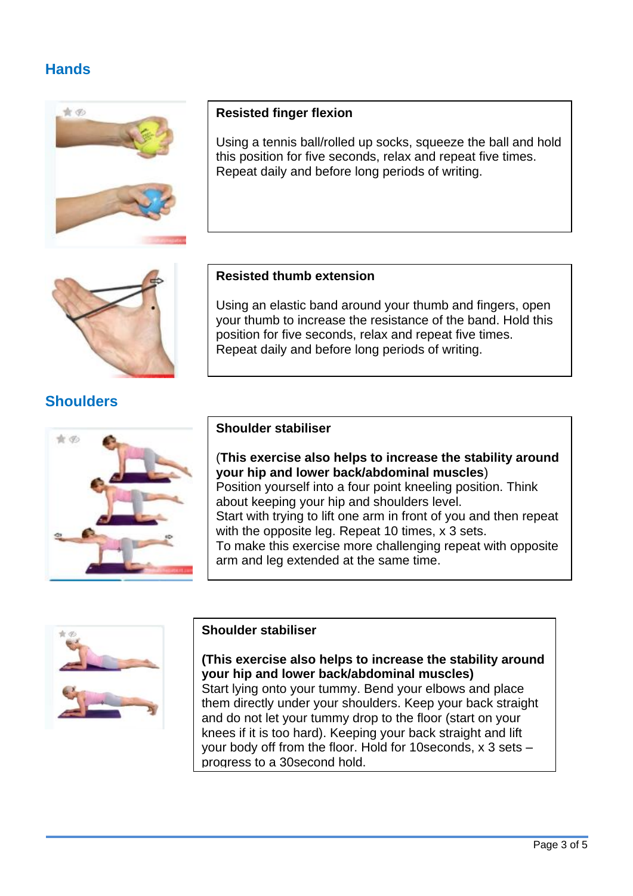## **Hands**





Using a tennis ball/rolled up socks, squeeze the ball and hold this position for five seconds, relax and repeat five times. Repeat daily and before long periods of writing.



## **Shoulders**



#### **Resisted thumb extension**

Using an elastic band around your thumb and fingers, open your thumb to increase the resistance of the band. Hold this position for five seconds, relax and repeat five times. Repeat daily and before long periods of writing.

#### **Shoulder stabiliser**

(**This exercise also helps to increase the stability around your hip and lower back/abdominal muscles**) Position yourself into a four point kneeling position. Think about keeping your hip and shoulders level. Start with trying to lift one arm in front of you and then repeat with the opposite leg. Repeat 10 times, x 3 sets. To make this exercise more challenging repeat with opposite arm and leg extended at the same time.



#### **Shoulder stabiliser**

**(This exercise also helps to increase the stability around your hip and lower back/abdominal muscles)**

Start lying onto your tummy. Bend your elbows and place them directly under your shoulders. Keep your back straight and do not let your tummy drop to the floor (start on your knees if it is too hard). Keeping your back straight and lift your body off from the floor. Hold for 10seconds, x 3 sets – progress to a 30second hold.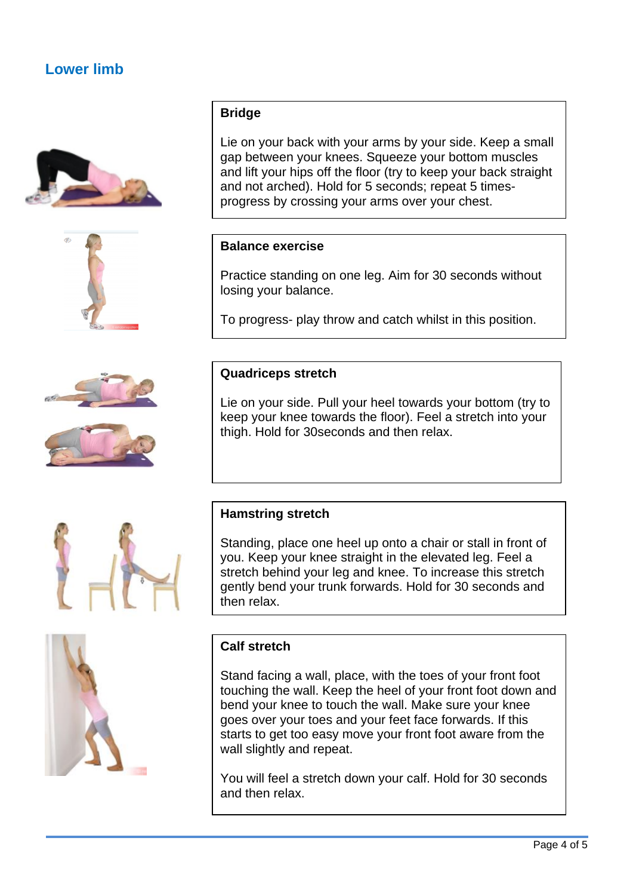## **Lower limb**









### **Bridge**

Lie on your back with your arms by your side. Keep a small gap between your knees. Squeeze your bottom muscles and lift your hips off the floor (try to keep your back straight and not arched). Hold for 5 seconds; repeat 5 timesprogress by crossing your arms over your chest.

#### **Balance exercise**

Practice standing on one leg. Aim for 30 seconds without losing your balance.

To progress- play throw and catch whilst in this position.

#### **Quadriceps stretch**

Lie on your side. Pull your heel towards your bottom (try to keep your knee towards the floor). Feel a stretch into your thigh. Hold for 30seconds and then relax.

## **Hamstring stretch**

Standing, place one heel up onto a chair or stall in front of you. Keep your knee straight in the elevated leg. Feel a stretch behind your leg and knee. To increase this stretch gently bend your trunk forwards. Hold for 30 seconds and then relax.

#### **Calf stretch**

Stand facing a wall, place, with the toes of your front foot touching the wall. Keep the heel of your front foot down and bend your knee to touch the wall. Make sure your knee goes over your toes and your feet face forwards. If this starts to get too easy move your front foot aware from the wall slightly and repeat.

You will feel a stretch down your calf. Hold for 30 seconds and then relax.